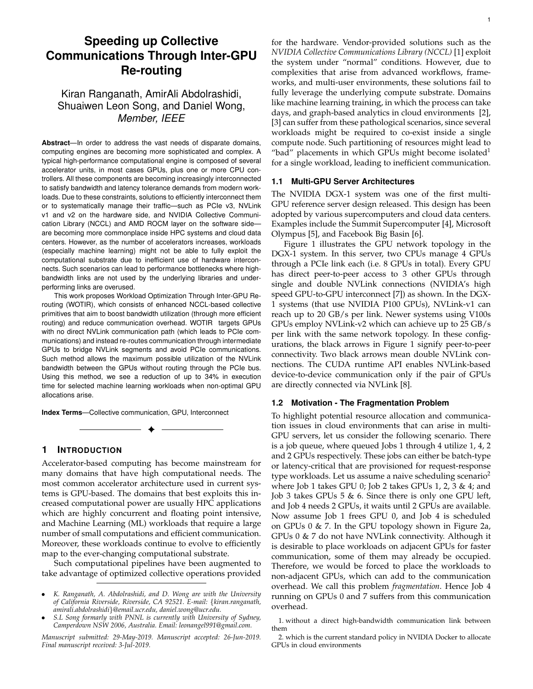# **Speeding up Collective Communications Through Inter-GPU Re-routing**

# Kiran Ranganath, AmirAli Abdolrashidi, Shuaiwen Leon Song, and Daniel Wong, *Member, IEEE*

**Abstract**—In order to address the vast needs of disparate domains, computing engines are becoming more sophisticated and complex. A typical high-performance computational engine is composed of several accelerator units, in most cases GPUs, plus one or more CPU controllers. All these components are becoming increasingly interconnected to satisfy bandwidth and latency tolerance demands from modern workloads. Due to these constraints, solutions to efficiently interconnect them or to systematically manage their traffic—such as PCIe v3, NVLink v1 and v2 on the hardware side, and NVIDIA Collective Communication Library (NCCL) and AMD ROCM layer on the software side are becoming more commonplace inside HPC systems and cloud data centers. However, as the number of accelerators increases, workloads (especially machine learning) might not be able to fully exploit the computational substrate due to inefficient use of hardware interconnects. Such scenarios can lead to performance bottlenecks where highbandwidth links are not used by the underlying libraries and underperforming links are overused.

This work proposes Workload Optimization Through Inter-GPU Rerouting (WOTIR), which consists of enhanced NCCL-based collective primitives that aim to boost bandwidth utilization (through more efficient routing) and reduce communication overhead. WOTIR targets GPUs with no direct NVLink communication path (which leads to PCIe communications) and instead re-routes communication through intermediate GPUs to bridge NVLink segments and avoid PCIe communications. Such method allows the maximum possible utilization of the NVLink bandwidth between the GPUs without routing through the PCIe bus. Using this method, we see a reduction of up to 34% in execution time for selected machine learning workloads when non-optimal GPU allocations arise.

**Index Terms**—Collective communication, GPU, Interconnect

✦

### **1 INTRODUCTION**

Accelerator-based computing has become mainstream for many domains that have high computational needs. The most common accelerator architecture used in current systems is GPU-based. The domains that best exploits this increased computational power are usually HPC applications which are highly concurrent and floating point intensive, and Machine Learning (ML) workloads that require a large number of small computations and efficient communication. Moreover, these workloads continue to evolve to efficiently map to the ever-changing computational substrate.

Such computational pipelines have been augmented to take advantage of optimized collective operations provided

*Manuscript submitted: 29-May-2019. Manuscript accepted: 26-Jun-2019. Final manuscript received: 3-Jul-2019.*

for the hardware. Vendor-provided solutions such as the *NVIDIA Collective Communications Library (NCCL)* [1] exploit the system under "normal" conditions. However, due to complexities that arise from advanced workflows, frameworks, and multi-user environments, these solutions fail to fully leverage the underlying compute substrate. Domains like machine learning training, in which the process can take days, and graph-based analytics in cloud environments [2], [3] can suffer from these pathological scenarios, since several workloads might be required to co-exist inside a single compute node. Such partitioning of resources might lead to "bad" placements in which GPUs might become isolated $1$ for a single workload, leading to inefficient communication.

#### **1.1 Multi-GPU Server Architectures**

The NVIDIA DGX-1 system was one of the first multi-GPU reference server design released. This design has been adopted by various supercomputers and cloud data centers. Examples include the Summit Supercomputer [4], Microsoft Olympus [5], and Facebook Big Basin [6].

Figure 1 illustrates the GPU network topology in the DGX-1 system. In this server, two CPUs manage 4 GPUs through a PCIe link each (i.e. 8 GPUs in total). Every GPU has direct peer-to-peer access to 3 other GPUs through single and double NVLink connections (NVIDIA's high speed GPU-to-GPU interconnect [7]) as shown. In the DGX-1 systems (that use NVIDIA P100 GPUs), NVLink-v1 can reach up to 20 GB/s per link. Newer systems using V100s GPUs employ NVLink-v2 which can achieve up to 25 GB/s per link with the same network topology. In these configurations, the black arrows in Figure 1 signify peer-to-peer connectivity. Two black arrows mean double NVLink connections. The CUDA runtime API enables NVLink-based device-to-device communication only if the pair of GPUs are directly connected via NVLink [8].

#### **1.2 Motivation - The Fragmentation Problem**

To highlight potential resource allocation and communication issues in cloud environments that can arise in multi-GPU servers, let us consider the following scenario. There is a job queue, where queued Jobs 1 through 4 utilize 1, 4, 2 and 2 GPUs respectively. These jobs can either be batch-type or latency-critical that are provisioned for request-response type workloads. Let us assume a naive scheduling scenario<sup>2</sup> where Job 1 takes GPU 0; Job 2 takes GPUs 1, 2, 3 & 4; and Job 3 takes GPUs 5 & 6. Since there is only one GPU left, and Job 4 needs 2 GPUs, it waits until 2 GPUs are available. Now assume Job 1 frees GPU 0, and Job 4 is scheduled on GPUs 0 & 7. In the GPU topology shown in Figure 2a, GPUs 0 & 7 do not have NVLink connectivity. Although it is desirable to place workloads on adjacent GPUs for faster communication, some of them may already be occupied. Therefore, we would be forced to place the workloads to non-adjacent GPUs, which can add to the communication overhead. We call this problem *fragmentation*. Hence Job 4 running on GPUs 0 and 7 suffers from this communication overhead.

<sup>•</sup> *K. Ranganath, A. Abdolrashidi, and D. Wong are with the University of California Riverside, Riverside, CA 92521. E-mail:* {*kiran.ranganath, amirali.abdolrashidi*}*@email.ucr.edu, daniel.wong@ucr.edu.*

<sup>•</sup> *S.L Song formarly with PNNL is currently with University of Sydney, Camperdown NSW 2006, Australia. Email: leonangel991@gmail.com.*

<sup>1.</sup> without a direct high-bandwidth communication link between them

<sup>2.</sup> which is the current standard policy in NVIDIA Docker to allocate GPUs in cloud environments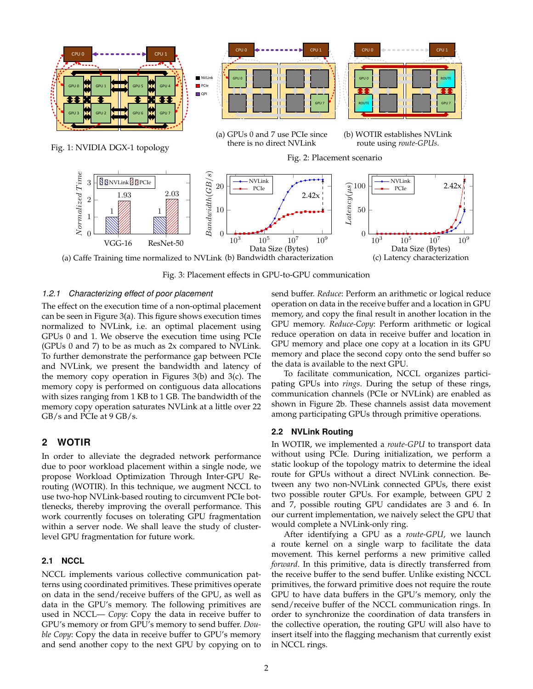

(a) Caffe Training time normalized to NVLink (b) Bandwidth characterization

Fig. 3: Placement effects in GPU-to-GPU communication

#### *1.2.1 Characterizing effect of poor placement*

The effect on the execution time of a non-optimal placement can be seen in Figure 3(a). This figure shows execution times normalized to NVLink, i.e. an optimal placement using GPUs 0 and 1. We observe the execution time using PCIe (GPUs 0 and 7) to be as much as 2x compared to NVLink. To further demonstrate the performance gap between PCIe and NVLink, we present the bandwidth and latency of the memory copy operation in Figures 3(b) and 3(c). The memory copy is performed on contiguous data allocations with sizes ranging from 1 KB to 1 GB. The bandwidth of the memory copy operation saturates NVLink at a little over 22 GB/s and PCIe at 9 GB/s.

# **2 WOTIR**

In order to alleviate the degraded network performance due to poor workload placement within a single node, we propose Workload Optimization Through Inter-GPU Rerouting (WOTIR). In this technique, we augment NCCL to use two-hop NVLink-based routing to circumvent PCIe bottlenecks, thereby improving the overall performance. This work courrently focuses on tolerating GPU fragmentation within a server node. We shall leave the study of clusterlevel GPU fragmentation for future work.

# **2.1 NCCL**

NCCL implements various collective communication patterns using coordinated primitives. These primitives operate on data in the send/receive buffers of the GPU, as well as data in the GPU's memory. The following primitives are used in NCCL— *Copy*: Copy the data in receive buffer to GPU's memory or from GPU's memory to send buffer. *Double Copy*: Copy the data in receive buffer to GPU's memory and send another copy to the next GPU by copying on to send buffer. *Reduce*: Perform an arithmetic or logical reduce operation on data in the receive buffer and a location in GPU memory, and copy the final result in another location in the GPU memory. *Reduce-Copy*: Perform arithmetic or logical reduce operation on data in receive buffer and location in GPU memory and place one copy at a location in its GPU memory and place the second copy onto the send buffer so the data is available to the next GPU.

To facilitate communication, NCCL organizes participating GPUs into *rings*. During the setup of these rings, communication channels (PCIe or NVLink) are enabled as shown in Figure 2b. These channels assist data movement among participating GPUs through primitive operations.

# **2.2 NVLink Routing**

In WOTIR, we implemented a *route-GPU* to transport data without using PCIe. During initialization, we perform a static lookup of the topology matrix to determine the ideal route for GPUs without a direct NVLink connection. Between any two non-NVLink connected GPUs, there exist two possible router GPUs. For example, between GPU 2 and 7, possible routing GPU candidates are 3 and 6. In our current implementation, we naively select the GPU that would complete a NVLink-only ring.

After identifying a GPU as a *route-GPU*, we launch a route kernel on a single warp to facilitate the data movement. This kernel performs a new primitive called *forward*. In this primitive, data is directly transferred from the receive buffer to the send buffer. Unlike existing NCCL primitives, the forward primitive does not require the route GPU to have data buffers in the GPU's memory, only the send/receive buffer of the NCCL communication rings. In order to synchronize the coordination of data transfers in the collective operation, the routing GPU will also have to insert itself into the flagging mechanism that currently exist in NCCL rings.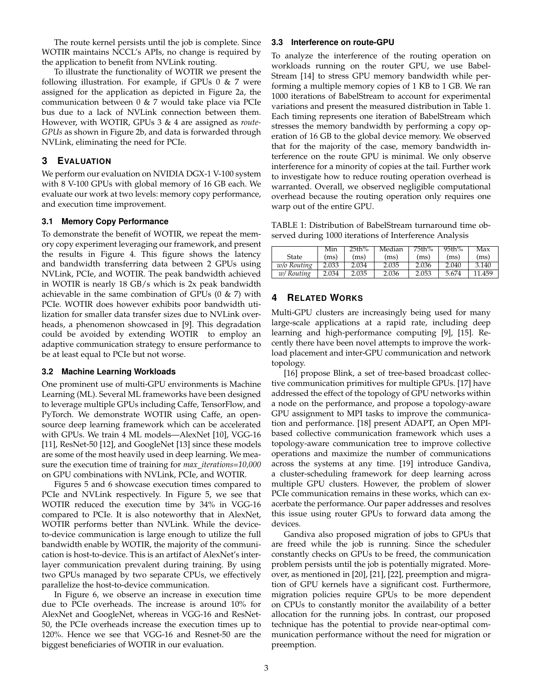The route kernel persists until the job is complete. Since WOTIR maintains NCCL's APIs, no change is required by the application to benefit from NVLink routing.

To illustrate the functionality of WOTIR we present the following illustration. For example, if GPUs  $0 \& 7$  were assigned for the application as depicted in Figure 2a, the communication between 0 & 7 would take place via PCIe bus due to a lack of NVLink connection between them. However, with WOTIR, GPUs 3 & 4 are assigned as *route-GPUs* as shown in Figure 2b, and data is forwarded through NVLink, eliminating the need for PCIe.

#### **3 EVALUATION**

We perform our evaluation on NVIDIA DGX-1 V-100 system with 8 V-100 GPUs with global memory of 16 GB each. We evaluate our work at two levels: memory copy performance, and execution time improvement.

#### **3.1 Memory Copy Performance**

To demonstrate the benefit of WOTIR, we repeat the memory copy experiment leveraging our framework, and present the results in Figure 4. This figure shows the latency and bandwidth transferring data between 2 GPUs using NVLink, PCIe, and WOTIR. The peak bandwidth achieved in WOTIR is nearly 18 GB/s which is 2x peak bandwidth achievable in the same combination of GPUs  $(0 \& 7)$  with PCIe. WOTIR does however exhibits poor bandwidth utilization for smaller data transfer sizes due to NVLink overheads, a phenomenon showcased in [9]. This degradation could be avoided by extending WOTIR to employ an adaptive communication strategy to ensure performance to be at least equal to PCIe but not worse.

#### **3.2 Machine Learning Workloads**

One prominent use of multi-GPU environments is Machine Learning (ML). Several ML frameworks have been designed to leverage multiple GPUs including Caffe, TensorFlow, and PyTorch. We demonstrate WOTIR using Caffe, an opensource deep learning framework which can be accelerated with GPUs. We train 4 ML models—AlexNet [10], VGG-16 [11], ResNet-50 [12], and GoogleNet [13] since these models are some of the most heavily used in deep learning. We measure the execution time of training for *max iterations=10,000* on GPU combinations with NVLink, PCIe, and WOTIR.

Figures 5 and 6 showcase execution times compared to PCIe and NVLink respectively. In Figure 5, we see that WOTIR reduced the execution time by 34% in VGG-16 compared to PCIe. It is also noteworthy that in AlexNet, WOTIR performs better than NVLink. While the deviceto-device communication is large enough to utilize the full bandwidth enable by WOTIR, the majority of the communication is host-to-device. This is an artifact of AlexNet's interlayer communication prevalent during training. By using two GPUs managed by two separate CPUs, we effectively parallelize the host-to-device communication.

In Figure 6, we observe an increase in execution time due to PCIe overheads. The increase is around 10% for AlexNet and GoogleNet, whereas in VGG-16 and ResNet-50, the PCIe overheads increase the execution times up to 120%. Hence we see that VGG-16 and Resnet-50 are the biggest beneficiaries of WOTIR in our evaluation.

#### **3.3 Interference on route-GPU**

To analyze the interference of the routing operation on workloads running on the router GPU, we use Babel-Stream [14] to stress GPU memory bandwidth while performing a multiple memory copies of 1 KB to 1 GB. We ran 1000 iterations of BabelStream to account for experimental variations and present the measured distribution in Table 1. Each timing represents one iteration of BabelStream which stresses the memory bandwidth by performing a copy operation of 16 GB to the global device memory. We observed that for the majority of the case, memory bandwidth interference on the route GPU is minimal. We only observe interference for a minority of copies at the tail. Further work to investigate how to reduce routing operation overhead is warranted. Overall, we observed negligible computational overhead because the routing operation only requires one warp out of the entire GPU.

TABLE 1: Distribution of BabelStream turnaround time observed during 1000 iterations of Interference Analysis

|             | Min   | 25th% | Median | 75th% | 95th% | Max    |
|-------------|-------|-------|--------|-------|-------|--------|
| State       | (ms)  | (ms)  | (ms)   | (ms)  | (ms)  | (ms)   |
| w/o Routing | 2.033 | 2.034 | 2.035  | 2.036 | 2.040 | 3.140  |
| w/Routing   | 2.034 | 2.035 | 2.036  | 2.053 | 5.674 | 11.459 |

# **4 RELATED WORKS**

Multi-GPU clusters are increasingly being used for many large-scale applications at a rapid rate, including deep learning and high-performance computing [9], [15]. Recently there have been novel attempts to improve the workload placement and inter-GPU communication and network topology.

[16] propose Blink, a set of tree-based broadcast collective communication primitives for multiple GPUs. [17] have addressed the effect of the topology of GPU networks within a node on the performance, and propose a topology-aware GPU assignment to MPI tasks to improve the communication and performance. [18] present ADAPT, an Open MPIbased collective communication framework which uses a topology-aware communication tree to improve collective operations and maximize the number of communications across the systems at any time. [19] introduce Gandiva, a cluster-scheduling framework for deep learning across multiple GPU clusters. However, the problem of slower PCIe communication remains in these works, which can exacerbate the performance. Our paper addresses and resolves this issue using router GPUs to forward data among the devices.

Gandiva also proposed migration of jobs to GPUs that are freed while the job is running. Since the scheduler constantly checks on GPUs to be freed, the communication problem persists until the job is potentially migrated. Moreover, as mentioned in [20], [21], [22], preemption and migration of GPU kernels have a significant cost. Furthermore, migration policies require GPUs to be more dependent on CPUs to constantly monitor the availability of a better allocation for the running jobs. In contrast, our proposed technique has the potential to provide near-optimal communication performance without the need for migration or preemption.